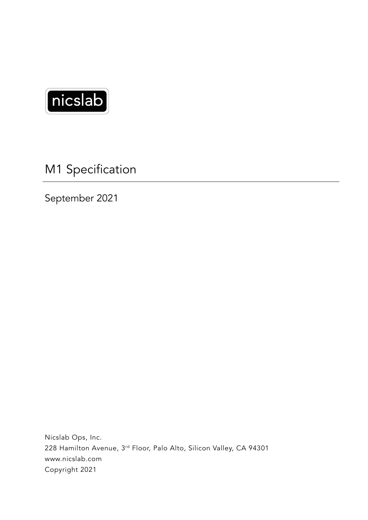

M1 Specification

September 2021

Nicslab Ops, Inc. 228 Hamilton Avenue, 3rd Floor, Palo Alto, Silicon Valley, CA 94301 www.nicslab.com Copyright 2021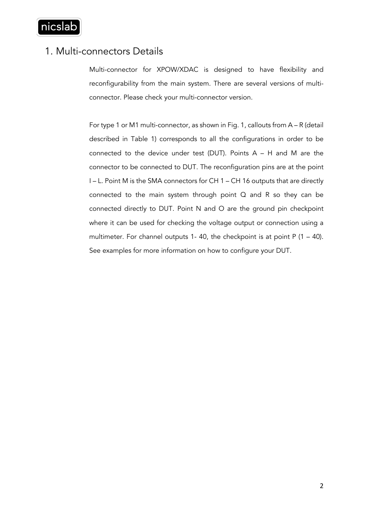

## 1. Multi-connectors Details

Multi-connector for XPOW/XDAC is designed to have flexibility and reconfigurability from the main system. There are several versions of multiconnector. Please check your multi-connector version.

For type 1 or M1 multi-connector, as shown in Fig. 1, callouts from A – R (detail described in Table 1) corresponds to all the configurations in order to be connected to the device under test (DUT). Points A – H and M are the connector to be connected to DUT. The reconfiguration pins are at the point I – L. Point M is the SMA connectors for CH 1 – CH 16 outputs that are directly connected to the main system through point Q and R so they can be connected directly to DUT. Point N and O are the ground pin checkpoint where it can be used for checking the voltage output or connection using a multimeter. For channel outputs 1-40, the checkpoint is at point  $P(1 - 40)$ . See examples for more information on how to configure your DUT.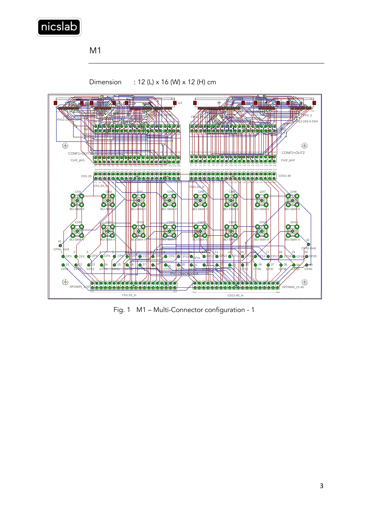

M1



Dimension : 12 (L) x 16 (W) x 12 (H) cm

Fig. 1 M1 – Multi-Connector configuration - 1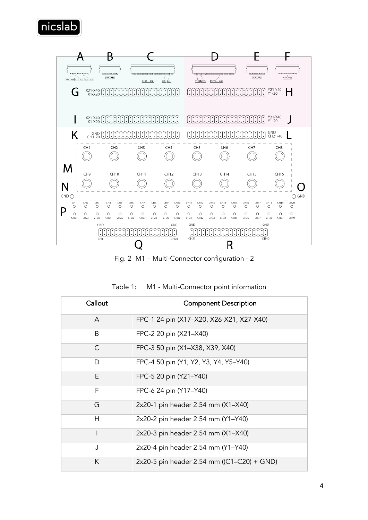



Fig. 2 M1 – Multi-Connector configuration - 2

| Callout | <b>Component Description</b>               |
|---------|--------------------------------------------|
| A       | FPC-1 24 pin (X17-X20, X26-X21, X27-X40)   |
| B       | FPC-2 20 pin (X21-X40)                     |
| C       | FPC-3 50 pin (X1-X38, X39, X40)            |
| D       | FPC-4 50 pin (Y1, Y2, Y3, Y4, Y5-Y40)      |
| F       | FPC-5 20 pin (Y21-Y40)                     |
| F       | FPC-6 24 pin (Y17-Y40)                     |
| G       | 2x20-1 pin header 2.54 mm (X1-X40)         |
| H       | 2x20-2 pin header 2.54 mm (Y1–Y40)         |
|         | 2x20-3 pin header 2.54 mm (X1–X40)         |
| J       | 2x20-4 pin header 2.54 mm (Y1-Y40)         |
| K       | 2x20-5 pin header 2.54 mm ((C1–C20) + GND) |

| Table 1: | M1 - Multi-Connector point information |  |
|----------|----------------------------------------|--|
|----------|----------------------------------------|--|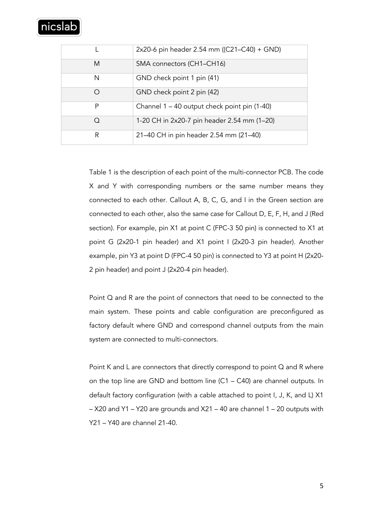# nicslak

|            | 2x20-6 pin header 2.54 mm ((C21–C40) + GND)  |
|------------|----------------------------------------------|
| M          | SMA connectors (CH1-CH16)                    |
| N          | GND check point 1 pin (41)                   |
| ∩          | GND check point 2 pin (42)                   |
| P          | Channel 1 - 40 output check point pin (1-40) |
| $\bigcirc$ | 1-20 CH in 2x20-7 pin header 2.54 mm (1–20)  |
| R          | 21-40 CH in pin header 2.54 mm (21-40)       |

Table 1 is the description of each point of the multi-connector PCB. The code X and Y with corresponding numbers or the same number means they connected to each other. Callout A, B, C, G, and I in the Green section are connected to each other, also the same case for Callout D, E, F, H, and J (Red section). For example, pin X1 at point C (FPC-3 50 pin) is connected to X1 at point G (2x20-1 pin header) and X1 point I (2x20-3 pin header). Another example, pin Y3 at point D (FPC-4 50 pin) is connected to Y3 at point H (2x20- 2 pin header) and point J (2x20-4 pin header).

Point Q and R are the point of connectors that need to be connected to the main system. These points and cable configuration are preconfigured as factory default where GND and correspond channel outputs from the main system are connected to multi-connectors.

Point K and L are connectors that directly correspond to point Q and R where on the top line are GND and bottom line (C1 – C40) are channel outputs. In default factory configuration (with a cable attached to point I, J, K, and L) X1 – X20 and Y1 – Y20 are grounds and X21 – 40 are channel 1 – 20 outputs with Y21 – Y40 are channel 21-40.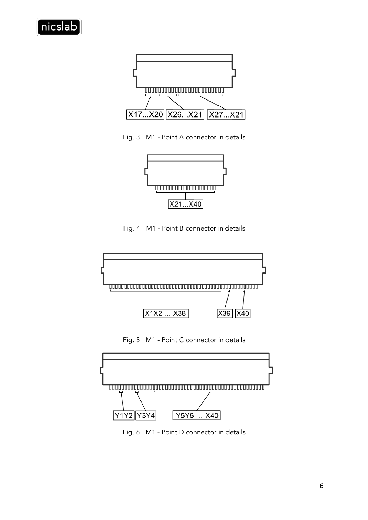



Fig. 3 M1 - Point A connector in details



Fig. 4 M1 - Point B connector in details



Fig. 5 M1 - Point C connector in details



Fig. 6 M1 - Point D connector in details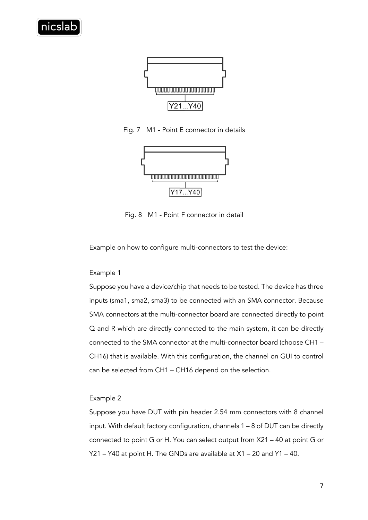

Fig. 7 M1 - Point E connector in details



Fig. 8 M1 - Point F connector in detail

Example on how to configure multi-connectors to test the device:

### Example 1

Suppose you have a device/chip that needs to be tested. The device has three inputs (sma1, sma2, sma3) to be connected with an SMA connector. Because SMA connectors at the multi-connector board are connected directly to point Q and R which are directly connected to the main system, it can be directly connected to the SMA connector at the multi-connector board (choose CH1 – CH16) that is available. With this configuration, the channel on GUI to control can be selected from CH1 – CH16 depend on the selection.

### Example 2

Suppose you have DUT with pin header 2.54 mm connectors with 8 channel input. With default factory configuration, channels 1 – 8 of DUT can be directly connected to point G or H. You can select output from X21 – 40 at point G or Y21 – Y40 at point H. The GNDs are available at X1 – 20 and Y1 – 40.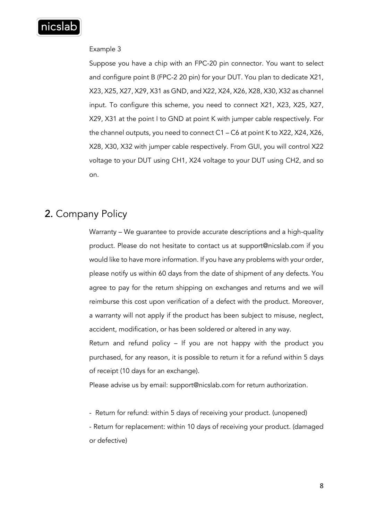

### Example 3

Suppose you have a chip with an FPC-20 pin connector. You want to select and configure point B (FPC-2 20 pin) for your DUT. You plan to dedicate X21, X23, X25, X27, X29, X31 as GND, and X22, X24, X26, X28, X30, X32 as channel input. To configure this scheme, you need to connect X21, X23, X25, X27, X29, X31 at the point I to GND at point K with jumper cable respectively. For the channel outputs, you need to connect C1 – C6 at point K to X22, X24, X26, X28, X30, X32 with jumper cable respectively. From GUI, you will control X22 voltage to your DUT using CH1, X24 voltage to your DUT using CH2, and so on.

# 2. Company Policy

Warranty – We guarantee to provide accurate descriptions and a high-quality product. Please do not hesitate to contact us at support@nicslab.com if you would like to have more information. If you have any problems with your order, please notify us within 60 days from the date of shipment of any defects. You agree to pay for the return shipping on exchanges and returns and we will reimburse this cost upon verification of a defect with the product. Moreover, a warranty will not apply if the product has been subject to misuse, neglect, accident, modification, or has been soldered or altered in any way.

Return and refund policy – If you are not happy with the product you purchased, for any reason, it is possible to return it for a refund within 5 days of receipt (10 days for an exchange).

Please advise us by email: support@nicslab.com for return authorization.

- Return for refund: within 5 days of receiving your product. (unopened)

- Return for replacement: within 10 days of receiving your product. (damaged or defective)